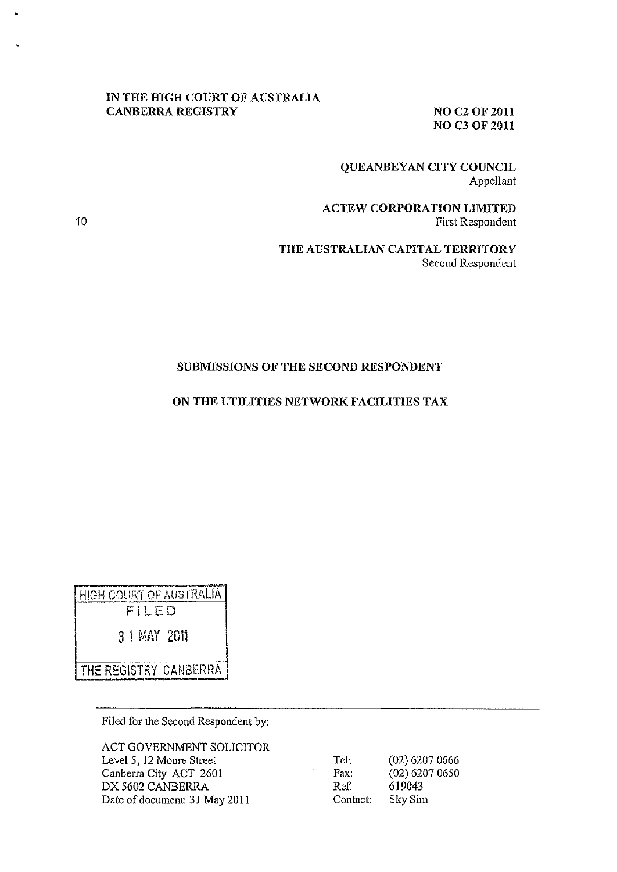### **IN THE HIGH COURT OF AUSTRALIA CANBERRA REGISTRY** NO C2 OF 2011

**NO C3** OF 2011

# **QUEANBEYAN CITY COUNCIL**  Appellant

**ACTEW CORPORATION LIMITED**  First Respondent

**THE AUSTRALIAN CAPITAL TERRITORY**  Second Respondent

### **SUBMISSIONS OF THE SECOND RESPONDENT**

### **ON THE UTILITIES NETWORK FACILITIES TAX**

~~~~~~~.~~~ <u>HIGH COURT OF AUSTRALIA</u>

FI LED

3 1 MAY 201i

THE REGISTRY CANBERRA

Filed for the Second Respondent by:

ACT GOVERNMENT SOLICITOR Level 5, 12 Moore Street Canberra City ACT 2601 **OX** 5602 CANBERRA Date of document: 31 May 2011

Tel: (02) 6207 0666 Fax: (02) 6207 0650 Ref: 619043 Contact: Sky Sim

10

•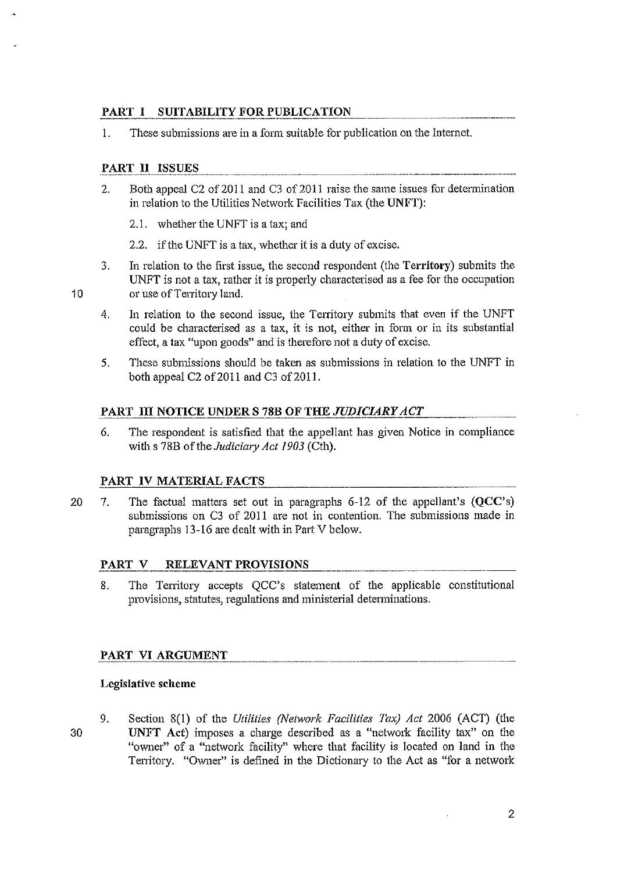# PART I - SUITABILITY FOR PUBLICATION

I. These submissions are in a form suitable for publication on the Internet.

# PART II ISSUES

- 2. Both appeal C2 of 2011 and C3 of 2011 raise the same issues for determination in relation to the Utilities Network Facilities Tax (the UNFT):
	- 2.1. whether the UNFT is a tax; and
	- 2.2. if the UNFT is a tax, whether it is a duty of excise.
- 3. In relation to the first issue, the second respondent (the Territory) submits the UNFT is not a tax, rather it is properly characterised as a fee for the occupation or use of Territory land.
- 4. In relation to the second issue, the Territory submits that even if the UNFT could be characterised as a tax, it is not, either in form or in its substantial effect, a tax "upon goods" and is therefore not a duty of excise.
- S. These submissions should be taken as submissions in relation to the UNFT in both appeal C2 of 2011 and C3 of 2011.

### PART III NOTICE UNDER S 78B OF THE JUDICIARY ACT

6. The respondent is satisfied that the appellant has given Notice in compliance with s 78B of the *Judiciary Act 1903* (Cth).

### PART IV MATERIAL FACTS

20 7. The factual matters set out in paragraphs 6-12 of the appellant's (QCC's) submissions on C3 of 2011 are not in contention. The submissions made in paragraphs 13-16 are dealt with in Part V below.

## PART V RELEVANT PROVISIONS

8. The Territory accepts QCC's statement of the applicable constitutional provisions, statutes, regulations and ministerial determinations.

### PART VI ARGUMENT

### Legislative scheme

30

10

9. Section 8(1) of the *Utilities (Network Facilities Tax) Act* 2006 (ACT) (the UNFT Act) imposes a charge described as a "network facility tax" on the "owner" of a "network facility" where that facility is located on land in the Territory. "Owner" is defined in the Dictionary to the Act as "for a network

----\_.\_--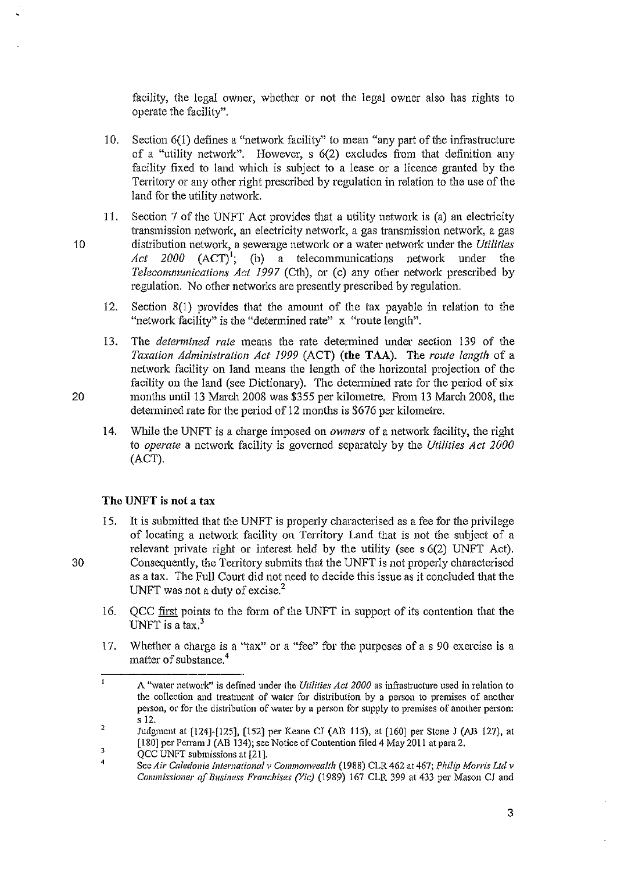facility, the legal owner, whether or not the legal owner also has rights to operate the facility".

- 10. Section 6(1) defines a "network facility" to mean "any part of the infrastructure of a "utility network". However, s 6(2) excludes from that definition any facility fixed to land which is subject to a lease or a licence granted by the Territory or any other right prescribed by regulation in relation to the use of the land for the utility network.
- 11. Section 7 of the UNFT Act provides that a utility network is (a) an electricity transmission network, an electricity network, a gas transmission network, a gas 10 distribution network, a sewerage network or a water network under the *Utilities Act* 2000  $(ACT)^1$ ; (b) a telecommunications network under the *Telecommunications Act* 1997 (Cth), or (c) any other network prescribed by regulation. No other networks are presently prescribed by regulation.
	- 12. Section 8(1) provides that the amount of the tax payable in relation to the "network facility" is the "determined rate" x "route length".
- 13. The *determined rate* means the rate determined under section 139 of the *Taxation Administration Act* 1999 (ACT) (the TAA). The *route length* of a network facility on land means the length of the horizontal projection of the facility on the land (see Dictionary). The determined rate for the period of six 20 months until 13 March 2008 was \$355 per kilometre. From 13 March 2008, the determined rate for the period of 12 months is \$676 per kilometre.
	- 14. While the UNFT is a charge imposed on *owners* of a network facility, the right to *operate* a network facility is governed separately by the *Utilities Act 2000*  (ACT).

### The UNFT is not a tax

- 15. It is submitted that the UNFT is properly characterised as a fee for the privilege of locating a network facility on Territory Land that is not the subject of a relevant private right or interest held by the utility (see s 6(2) UNFT Act). 30 Consequently, the Territory submits that the UNFT is not properly characterised as a tax. The Full Court did not need to decide this issue as it concluded that the UNFT was not a duty of excise.<sup>2</sup>
	- 16. QCC first points to the form of the UNFT in support of its contention that the UNFT is a tax. $3$
	- 17. Whether a charge is a "tax" or a "fee" for the purposes of a s 90 exercise is a matter of substance. 4

 $\mathbf{r}$ **A "water network" is defined under the** *Utilities Act 2000* **as infrastructure used in relation to the collection and treatment of water for distribution by a person to premises of another person, or for the distribution of water by a person for supply to premises of another person:**  s 12.

<sup>2</sup>  3 Judgment at [124]-[125], [152] per Keane CJ (AB 115), at [160] per Stone J (AB 127), at [180] per Perram J (AB 134); see Notice of Contention filed 4 May 2011 at para 2.

QCC UNFT submissions at [21].

<sup>4</sup>  See Air Caledonie International v Commonwealth (1988) CLR 462 at 467; Philip Morris Ltd v *Commissioner of Business Franchises (Vic)* (1989) 167 CLR 399 at 433 per Mason CJ and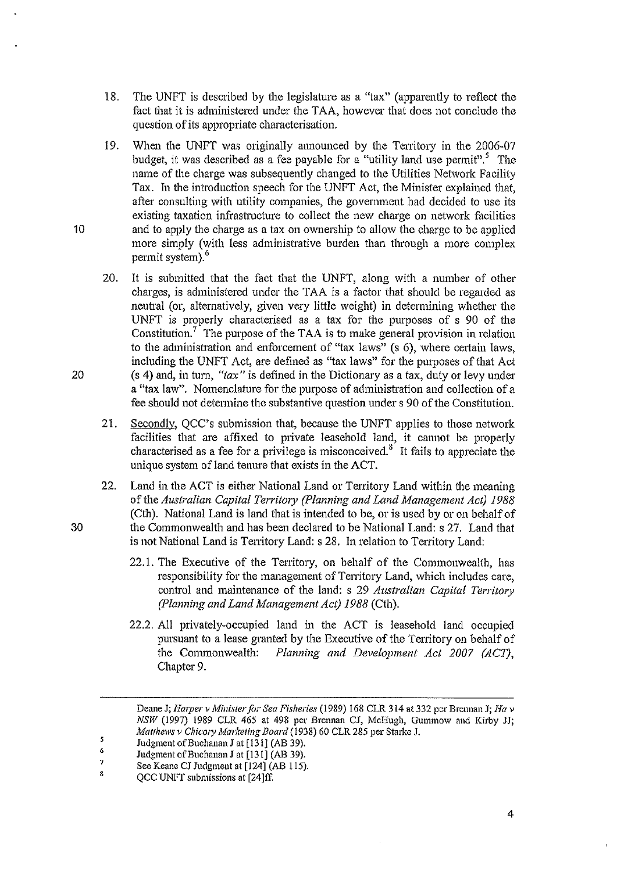- 18. The UNFT is described by the legislature as a "tax" (apparently to reflect the fact that it is administered under the TAA, however that does not conclude the question of its appropriate characterisation.
- 19. When the UNFT was originally announced by the Territory in the 2006-07 budget, it was described as a fee payable for a "utility land use permit".<sup>5</sup> The name of the charge was subsequently changed to the Utilities Network Facility Tax. In the introduction speech for the UNFT Act, the Minister explained that, after consulting with utility companies, the government had decided to use its existing taxation infrastructure to collect the new charge on network facilities 10 and to apply the charge as a tax on ownership to allow the charge to be applied more simply (with less administrative burden than through a more complex permit system).6
- 20. It is submitted that the fact that the UNFT, along with a number of other charges, is administered under the TAA is a factor that should be regarded as neutral (or, altematively, given very little weight) in determining whether the UNFT is properly characterised as a tax for the purposes of s 90 of the Constitution.<sup>7</sup> The purpose of the TAA is to make general provision in relation to the administration and enforcement of "tax laws" (s 6), where certain laws, including the UNFT Act, are defined as "tax laws" for the purposes of that Act 20 (s 4) and, in turn, *"tax"* is defined in the Dictionary as a tax, duty or levy under a "tax law". Nomenclature for the purpose of administration and collection of a fee should not detennine the substantive question under s 90 of the Constitution.
	- 21. Secondly, QCC's submission that, because the UNFT applies to those network facilities that are affixed to private leasehold land, it cannot be properly characterised as a fee for a privilege is misconceived.<sup>8</sup> It fails to appreciate the unique system of land tenure that exists in the ACT.
- 22. Land in the ACT is either National Land or Territory Land within the meaning of the *Australian Capital Territory (Planning and Land Management Act) 1988*  (Cth). National Land is land that is intended to be, or is used by or on behalf of 30 the Commonwealth and has been declared to be National Land: s 27. Land that is not National Land is Territory Land: s 28. In relation to Territory Land:
	- 22.1. The Executive of the Territory, on behalf of the Commonwealth, has responsibility for the management of Territory Land, which includes care, control and maintenance of the land: s 29 *Australian Capital Territory (Planning and Land Management Act)* 1988 (Cth).
	- 22.2. All privately-occupied land in the ACT is leasehold land occupied pursuant to a lease granted by the Executive of the Territory on behalf of the Commonwealth: *Planning and Development Act 2007 (ACT),*  Chapter 9.

Deane J; *Harper v Minister fi)]' Sea Fisheries* (1989) 168 CLR 314 at 332 per Brennan J; *Ha v NSW* (1997) 1989 CLR 465 at 498 per Brennan CJ, McHugh, Gummow and Kirby JJ; *Matthews v ChicolY Marketing Board* (1938) 60 CLR 285 per Starke J.

 $\mathbf{5}$ Judgment of Euchanan J at [131] (AB 39). 6

<sup>7</sup>  Judgment of Buchanan J at [131] (AB 39).

<sup>8</sup>  See Keane CJ Judgment at [124] (AB 115).

QCC UNFT submissions at [24]ff.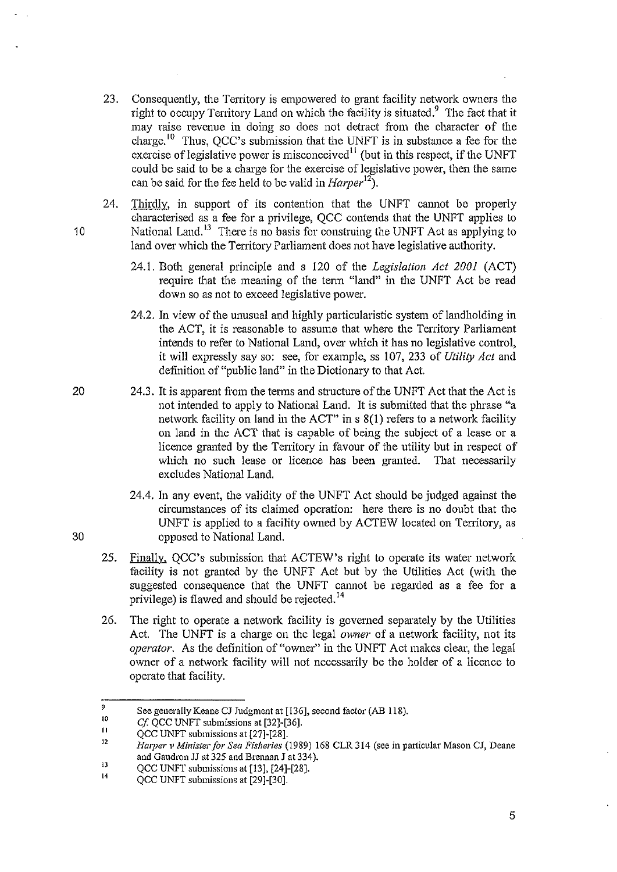- 23. Consequently, the Territory is empowered to grant facility network owners the right to occupy Territory Land on which the facility is situated.<sup>9</sup> The fact that it may raise revenue in doing so does not detract from the character of the charge.<sup>10</sup> Thus, QCC's submission that the UNFT is in substance a fee for the exercise of legislative power is misconceived $11$  (but in this respect, if the UNFT could be said to be a charge for the exercise of legislative power, then the same can be said for the fee held to be valid in  $Harper<sup>12</sup>$ .
- 24. Thirdly, in support of its contention that the UNFT cannot be properly characterised as a fee for a privilege, QCC contends that the UNFT applies to 10 National Land.<sup>13</sup> There is no basis for construing the UNFT Act as applying to land over which the Territory Parliament does not have legislative authority.
	- 24.1. Both general principle and s 120 of the *Legislation Act 2001* (ACT) require that the meaning of the term "land" in the UNFT Act be read down so as not to exceed legislative power.
	- 24.2. In view of the unusual and highly particularistic system of landholding in the ACT, it is reasonable to assume that where the Territory Parliament intends to refer to National Land, over which it has no legislative control, it will expressly say so; see, for example, ss 107, 233 of *Utility Act* and definition of "public land" in the Dictionary to that Act.
	- 24.3. It is apparent from the terms and structure of the UNFT Act that the Act is not intended to apply to National Land. It is submitted that the phrase "a network facility on land in the ACT" in s 8(1) refers to a network facility on land in the ACT that is capable of being the subject of a lease or a licence granted by the Territory in favour of the utility but in respect of which no such lease or licence has been granted. That necessarily excludes National Land.
		- 24.4. In any event, the validity of the UNFT Act should be judged against the circumstances of its claimed operation; here there is no doubt that the UNFT is applied to a facility owned by ACTEW located on Territory, as opposed to National Land.
	- 25. Finally, QCC's submission that ACTEW's right to operate its water network facility is not granted by the UNFT Act but by the Utilities Act (with the suggested consequence that the UNFT cannot be regarded as a fee for a privilege) is flawed and should be rejected.<sup>14</sup>
	- 26. The right to operate a network facility is governed separately by the Utilities Act. The UNFT is a charge on the legal *owner* of a network facility, not its *operator.* As the definition of "owner" in the UNFT Act makes clear, the legal owner of a network facility will not necessarily be the holder of a licence to operate that facility.

20

<sup>9</sup>  See generally Keane CJ Judgment at [136], second factor (AB 118).

<sup>10</sup>  Cf. QCC UNFT submissions at [32]-[36].

<sup>11</sup>  QCC UNFT submissions at [27]-[28].

<sup>12</sup>  *Harper v Minister for Sea Fisheries* (1989) 168 CLR 314 (see in particular Mason CJ, Deane and Gaudron JJ at 325 and Brcnnan J at 334).

<sup>13</sup>  QCC UNFT submissions at [13]. [24]-[28].

<sup>14</sup>  QCC UNFT submissions at [29]-[30].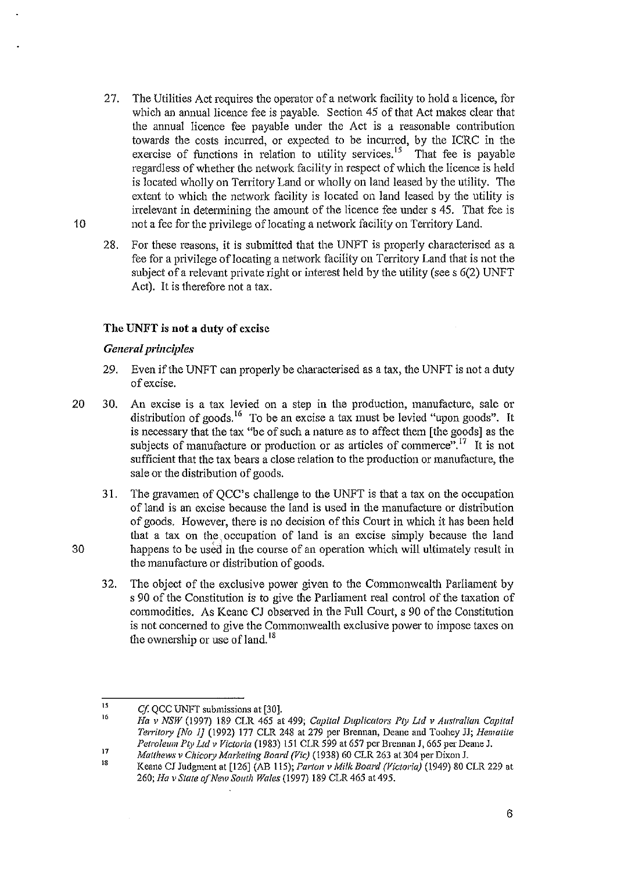- 27. The Utilities Act requires the operator of a network facility to hold a licence, for which an annual licence fee is payable. Section 45 of that Act makes clear that the annual licence fee payable under the Act is a reasonable contribution towards the costs incurred, or expected to be incurred, by the ICRC in the exercise of functions in relation to utility services.<sup>15</sup> That fee is payable regardless of whether the network facility in respect of which the licence is held is located wholly on Territory Land or wholly on land leased by the utility. The extent to which the network facility is located on land leased by the utility is irrelevant in determining the amount of the licence fee under s 45. That fee is 10 not a fee for the privilege of locating a network facility on Territory Land.
	- 28. For these reasons, it is submitted that the UNFT is properly characterised as a fee for a privilege of locating a network facility on Territory Land that is not the subject of a relevant private right or interest held by the utility (see s 6(2) UNFT Act). It is therefore not a tax.

## **The** UNFT is **not a duty of** excise

### *General principles*

- 29. Even if the UNFT can properly be characterised as a tax, the UNFT is not a duty of excise.
- 20 30. An excise is a tax levied on a step in the production, manufacture, sale or distribution of goods.<sup>16</sup> To be an excise a tax must be levied "upon goods". It is necessary that the tax "be of such a nature as to affect them [the goods] as the subjects of manufacture or production or as articles of commerce".<sup>17</sup> It is not sufficient that the tax bears a close relation to the production or manufacture, the sale or the distribution of goods.
	- 31. The gravamen of QCC's challenge to the UNFT is that a tax on the occupation of land is an excise because the land is used in the manufacture or distribution of goods. However, there is no decision of this Court in which it has been held that a tax on the, occupation of land is an excise simply because the land happens to be used in the course of an operation which will ultimately result in the manufacture or distribution of goods.
	- 32. The object of the exclusive power given to the Commonwealth Parliament by s 90 of the Constitution is to give the Parliament real control of the taxation of commodities. As Keane CJ observed in the Full Court, s 90 of the Constitution is not concerned to give the Commonwealth exclusive power to impose taxes on the ownership or use of land.  $18$

<sup>15</sup>  *Cf.* QCC UNFT submissions at [30J.

<sup>16</sup>  17 *Ha v NSW* (1997) 189 CLR 465 at 499; *Capilal Duplicators Pty Ltd v Australian Capital Territory [No 1]* (1992) 177 CLR 248 at 279 per Brennan, Deane and Toohey JJ; *Hematite* Petroleum Pty Ltd v Victoria (1983) 151 CLR 599 at 657 per Brennan J, 665 per Deane J.

<sup>18</sup>  *Matthews v Chicory Marketing Board (Vic)* (1938) 60 CLR 263 at 304 per Dixon J.

Keane CJ Judgment at [126J (AB 115); *Parton v Milk Board (Victoria)* (1949) 80 CLR 229 at *260; Ha v State a/New South Wales* (1997) 189 CLR 465 at 495.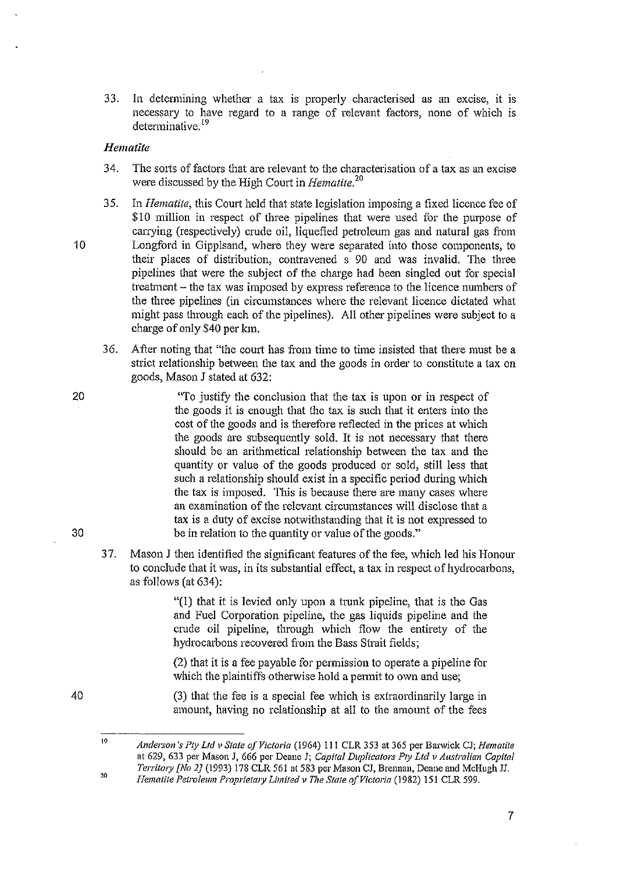33. In determining whether a tax is properly characterised as an excise, it is necessary to have regard to a range of relevant factors, none of which is determinative. 19

### *Hematite*

- 34. The sorts of factors that are relevant to the characterisation of a tax as an excise were discussed by the High Court in *Hematite. <sup>20</sup>*
- 35. In *Hematite,* this Court held that state legislation imposing a fixed licence fee of \$10 million in respect of three pipelines that were used for the purpose of carrying (respectively) crude oil, liquefied petroleum gas and natural gas from 10 Longford in Gipplsand, where they were separated into those components, to their places of distribution, contravened s 90 and was invalid. The three pipelines that were the subject of the charge had been singled out for special treatment – the tax was imposed by express reference to the licence numbers of the three pipelines (in circumstances where the relevant licence dictated what might pass through each of the pipelines). All other pipelines were subject to a charge of only \$40 per km.
	- 36. After noting that "the court has from time to time insisted that there must be a strict relationship between the tax and the goods in order to constitute a tax on goods, Mason J stated at 632:

"To justify the conclusion that the tax is upon or in respect of the goods it is enough that the tax is such that it enters into the cost of the goods and is therefore reflected in the prices at which the goods are subsequently sold. It is not necessary that there should be an arithmetical relationship between the tax and the quantity or value of the goods produced or sold, still less that such a relationship should exist in a specific period during which the tax is imposed. This is because there are many cases where an examination of the relevant circumstances will disclose that a tax is a duty of excise notwithstanding that it is not expressed to be in relation to the quantity or value of the goods."

37. Mason J then identified the significant features of the fee, which led his Honour to conclude that it was, in its substantial effect, a tax in respect of hydrocarbons, as follows (at 634):

> "(1) that it is levied only upon a trunk pipeline, that is the Gas and Fuel Corporation pipeline, the gas liquids pipeline and the crude oil pipeline, through which flow the entirety of the hydrocarbons recovered from the Bass Strait fields;

> (2) that it is a fee payable for permission to operate a pipeline for which the plaintiffs otherwise hold a permit to own and use;

> (3) that the fee is a special fee which is extraordinarily large in amount, having no relationship at all to the amount of the fees

20

30

<sup>19</sup>  Anderson's Pty Ltd v State of Victoria (1964) 111 CLR 353 at 365 per Barwick CJ; *Hematite* at 629, 633 per Mason J, 666 per Deane J; *Capifat Duplicators Pty Lld v Australian Capital Territory [No 2J* (1993) 178 CLR 561 at 583 per Mason CJ, Brennan, Deane and McHugh.TJ. 20

*Hemalite Pelroleum Proprietm:y Limited v The Slate of Victoria* (1982) 151 CLR 599.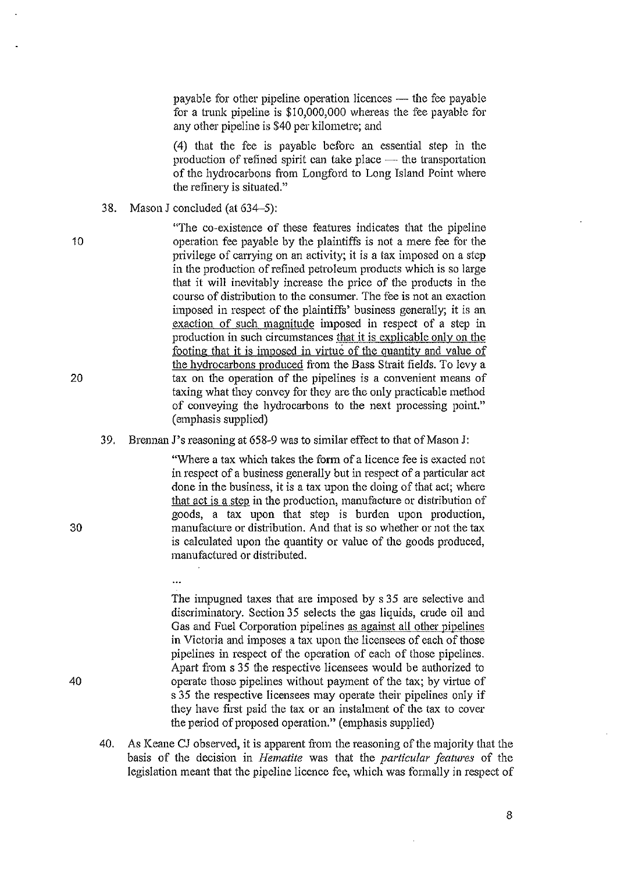payable for other pipeline operation licences  $-$  the fee payable for a trunk pipeline is  $$10,000,000$  whereas the fee payable for any other pipeline is \$40 per kilometre; and

(4) that the fee is payable before an essential step in the production of refined spirit can take place  $-$  the transportation of the hydrocarbons from Longford to Long Island Point where the refinery is situated."

38. Mason J concluded (at 634-5):

 $\ddotsc$ 

"The co-existence of these features indicates that the pipeline 10 operation fee payable by the plaintiffs is not a mere fee for the privilege of carrying on an activity; it is a tax imposed on a step in the production of refined petroleum products which is so large that it will inevitably increase the price of the products in the course of distribution to the consumer. The fee is not an exaction imposed in respect of the plaintiffs' business generally; it is an exaction of such magnitude imposed in respect of a step in production in such circumstances that it is explicable only on the footing that it is imposed in virtue of the quantity and value of the hydrocarbons produced from the Bass Strait fields. To levy a 20 tax on the operation of the pipelines is a convenient means of taxing what they convey for they are the only practicable method of conveying the hydrocarbons to the next processing point." (emphasis supplied)

#### 39. Brennan J's reasoning at 658-9 was to similar effect to that of Mason J:

"Where a tax which takes the form of a licence fee is exacted not in respect of a business generally but in respect of a particular act done in the business, it is a tax upon the doing of that act; where that act is a step in the production, manufacture or distribution of goods, a tax upon that step is hurden upon production, 30 manufacture or distribution. And that is so whether or not the tax is calculated upon the quantity or value of the goods produced, manufactured or distributed.

The impugned taxes that are imposed by s 35 are selective and discriminatory. Section 35 selects the gas liquids, crude oil and Gas and Fuel Corporation pipelines as against all other pipelines in Victoria and imposes a tax upon the licensees of each of those pipelines in respect of the operation of each of those pipelines. Apart from s 35 the respective licensees would be authorized to 40 operate those pipelines without payment of the tax; by virtue of s 35 the respective licensees may operate their pipelines only if they have first paid the tax or an instalment of the tax to cover the period of proposed operation." (emphasis supplied)

40. As Keane CJ observed, it is apparent from the reasoning of the majority that the basis of the decision in *Hematite* was that the *particular features* of the legislation meant that the pipeline licence fee, which was formally in respect of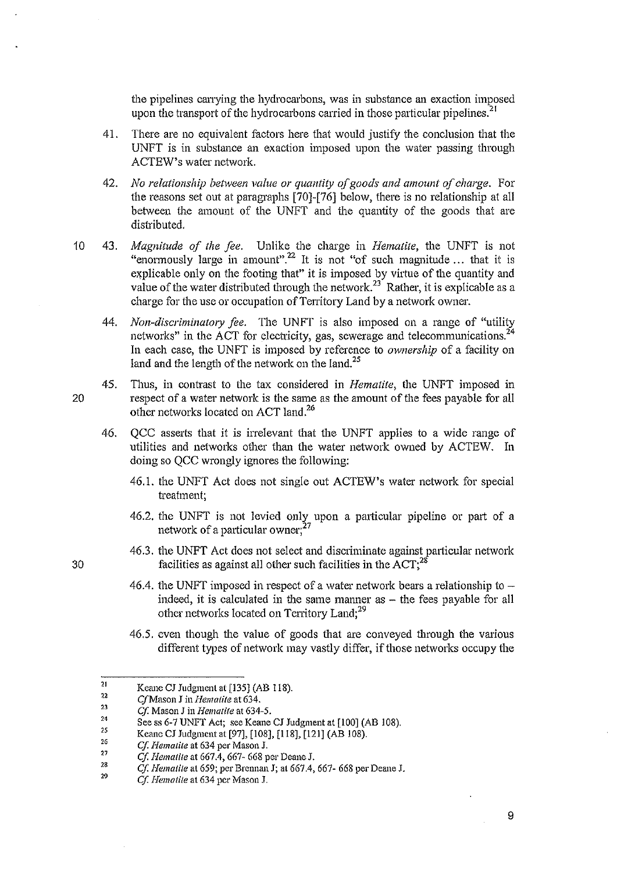the pipelines carrying the hydrocarbons, was in substance an exaction imposed upon the transport of the hydrocarbons carried in those particular pipelines.<sup>21</sup>

- 41. There are no equivalent factors here that would justify the conclusion that the UNFT is in substance an exaction imposed upon the water passing through ACTEW's water network.
- *42. No relationship between value or quantity i!f goods and amount of charge.* For the reasons set out at paragraphs [70]-[76] below, there is no relationship at all between the amount of the UNFT and the quantity of the goods that are distributed.
- 10 43. *Magnitude of the fee.* Unlike the charge in *Hematite,* the UNFT is not "enormously large in amount".<sup>22</sup> It is not "of such magnitude ... that it is explicable only on the footing that" it is imposed by virtue of the quantity and value of the water distributed through the network.<sup>23</sup> Rather, it is explicable as a charge for the use or occupation of Territory Land by a network owner.
	- *44. Non-discriminatory fee.* The UNFT is also imposed on a range of "utility networks" in the ACT for electricity, gas, sewerage and telecommunications.<sup>24</sup> In each case, the UNFT is imposed by reference to *ownership* of a facility on land and the length of the network on the land.<sup>25</sup>
- 45. Thus, in contrast to the tax considered in *Hematite,* the UNFT imposed in 20 respect of a water network is the same as the amount of the fees payable for all other networks located on ACT land.<sup>26</sup>
	- 46. QCC asserts that it is irrelevant that the UNFT applies to a wide range of utilities and networks other than the water network owned by ACTEW. In doing so QCC wrongly ignores the following:
		- 46.1. the UNFT Act does not single out ACTEW's water network for special treatment;
		- 46.2. the UNFT is not levied only upon a particular pipeline or part of a network of a particular owner; $^{27}$
- 46.3. the UNFT Act does not select and discriminate against particular network 30 **s** facilities as against all other such facilities in the  $\angle ACT$ ;<sup>28</sup>
	- 46.4. the UNFT imposed in respect of a water network bears a relationship to  $$ indeed, it is calculated in the same manner as  $-$  the fees payable for all other networks located on Territory Land;<sup>29</sup>
	- 46.5. even though the value of goods that are conveyed through the various different types of network may vastly differ, if those networks occupy the

<sup>21</sup>  Keane CJ Judgment at [135] (AB 118).

**e/Mason J in** *Hematite* **at 634.** 

 $\begin{array}{c} \n 22 \\
23 \\
24\n \end{array}$ Cf. Mason J in *Hematite* at 634-5.

<sup>2</sup>S See ss 6-7 UNFT Aet; see Keane CJ Judgment at [100] (AB 108).

<sup>2</sup>G Keane CJ Judgment at [97], [108], [118], [121] (AB 108).

<sup>21</sup>  Cf. *Hematite* at 634 per Mason J.

<sup>,.</sup>  *C'f, Iiemafife* at 667.4, 667- 668 per Deane J.

<sup>,.</sup>  Cf. *Hematite* at 659; per Brennan J; at 667.4, 667- 668 per Deane J.

*Cl l{eml1tite* **at 634 per Mason 1.**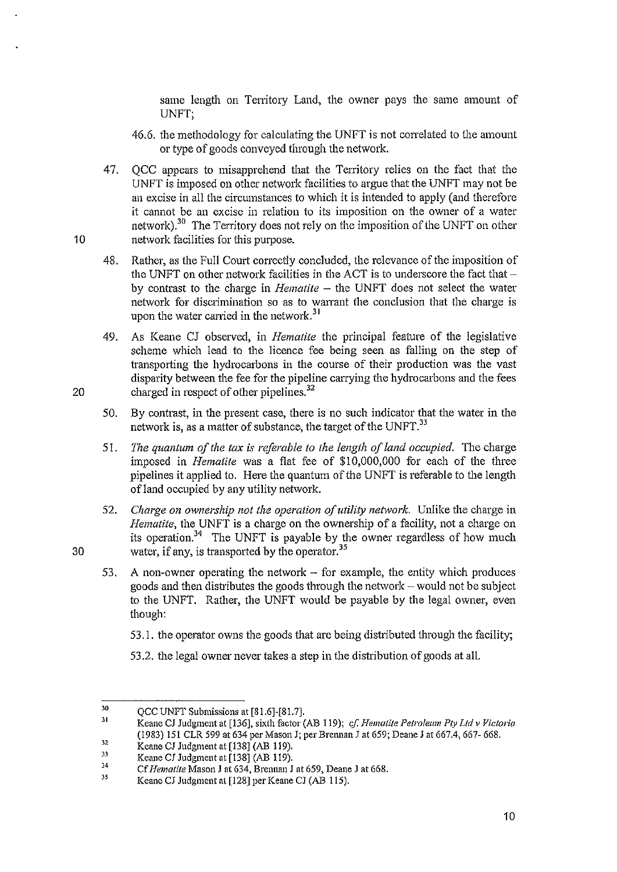same length on Territory Land, the owner pays the same amount of UNFT;

- 46.6. the methodology for calculating the UNFT is not correlated to the amount or type of goods conveyed through the network.
- 47. QCC appears to misapprehend that the Territory relies on the fact that the  $U$ NFT is imposed on other network facilities to argue that the UNFT may not be an excise in all the circumstances to which it is intended to apply (and therefore it cannot be an excise in relation to its imposition on the owner of a water network).30 The Territory does not rely on the imposition of the UNFT on other 10 network facilities for this purpose.
	- 48. Rather, as the Full Court correctly concluded, the relevance of the imposition of the UNFT on other network facilities in the ACT is to underscore the fact that  $$ by contrast to the charge in *Hematite* – the UNFT does not select the water network for discrimination so as to warrant the conclusion that the charge is upon the water carried in the network.<sup>31</sup>
- 49. As Keane CJ observed, in *Hematite* the principal feature of the legislative scheme which lead to the licence fee being seen as falling on the step of transporting the hydrocarbons in the course of their production was the vast disparity between the fee for the pipeline carrying the hydrocarbons and the fees 20 charged in respect of other pipelines.<sup>32</sup>
	- 50. By contrast, in the present case, there is no such indicator that the water in the network is, as a matter of substance, the target of the UNFT.<sup>33</sup>
	- *51. The quantum of the tax is referable to the length of land occupied.* The charge imposed in *Hematite* was a flat fee of \$10,000,000 for each of the three pipelines it applied to. Here the quantum of the UNFT is referable to the length ofland occupied by any utility network.
- 52. Charge on ownership not the operation of utility network. Unlike the charge in *Hematite*, the UNFT is a charge on the ownership of a facility, not a charge on its operation.<sup>34</sup> The UNFT is payable by the owner regardless of how much 30 water, if any, is transported by the operator.<sup>35</sup>
	- 53. A non-owner operating the network  $-$  for example, the entity which produces goods and then distributes the goods through the network - would not be subject to the UNFT. Rather, the UNFT would be payable by the legal owner, even though:
		- 53.1. the operator owns the goods that are being distributed through the facility;
		- 53.2. the legal owner never takes a step in the distribution of goods at all.

31 Keane CJ Judgment at [136], sixth factor (AB 119); *cf. Hematite Petroleum Pty Ltd v Victoria* (1983) 151 CLR 599 at 634 per Mason J; per Brennan J at 659; Deane J at 667.4, 667- 668.

<sup>30</sup> QCC UNFT Submissions at [81.6]-[81.7].

Keane CJ Judgment at [138] (AB 119).

 $32$ <br> $33$ <br> $34$ Keane CJ Judgment at [138] (AB 119).

<sup>35</sup> Cf *Hemalite* Mason.l at 634. Brennan J at 659, Deane J at 668.

Keane CJ Judgment at [128] per Keane CJ (AB 115).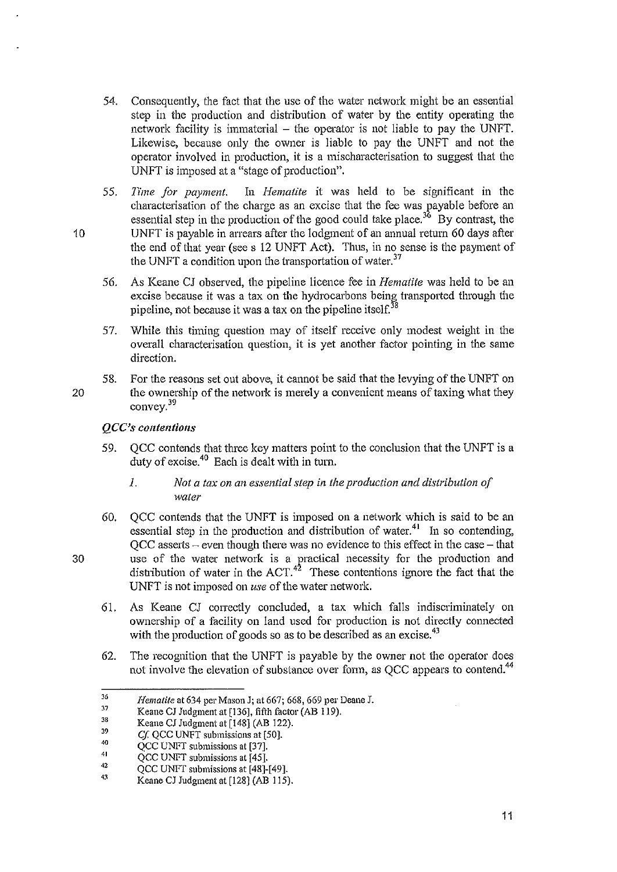- 54. Consequently, the fact that the use of the water network might be an essential step in the production and distribution of water by the entity operating the network facility is immaterial  $-$  the operator is not liable to pay the UNFT. Likewise, because only the owner is liable to pay the UNFT and not the operator involved in production, it is a mischaracterisation to suggest that the UNFT is imposed at a "stage of production".
- *55.* 11'me *for payment.* In *Hematite* it was held to be significant in the characterisation of the charge as an excise that the fee was payable before an essential step in the production of the good could take place.<sup>36</sup> By contrast, the 10 UNFT is payable in arrears after the lodgment of an annual return 60 days after the end of that year (see s 12 UNFT Act). Thus, in no sense is the payment of the UNFT a condition upon the transportation of water.<sup>37</sup>
	- 56. As Keane CJ observed, the pipeline licence fee in *Hematite* was held to be an excise because it was a tax on the hydrocarbons being transported through the pipeline, not because it was a tax on the pipeline itself.<sup>38</sup>
	- 57. While this timing question may of itself receive only modest weight in the overall characterisation question, it is yet another factor pointing in the same direction.
- 58. For the reasons set out above, it cannot be said that the levying of the UNFT on 20 the ownership of the network is merely a convenient means of taxing what they convey.<sup>39</sup>

## *QCC's contentions*

- 59. QCC contends that three key matters point to the conclusion that the UNFT is a duty of excise.40 Each is dealt with in turn.
	- 1. *Not a tax on an essential step* in *the production and distribution of water*
- 60. QCC contends that the UNFT is imposed on a network which is said to be an essential step in the production and distribution of water.<sup>41</sup> In so contending,  $QCC$  asserts  $-$  even though there was no evidence to this effect in the case  $-$  that 30 use of the water network is a practical necessity for the production and distribution of water in the  $ACT.<sup>42</sup>$  These contentions ignore the fact that the UNFT is not imposed on *use* of the water network.
	- 61. As Keane CJ correctly concluded, a tax which falls indiscriminately on ownership of a facility on land used for production is not directly connected with the production of goods so as to be described as an excise.<sup>43</sup>
	- 62. The recognition that the UNFT is payable by the owner not the operator does not involve the elevation of substance over form, as QCC appears to contend.<sup>44</sup>

<sup>36</sup>  *[{emalite* at 634 per Mason J; at 667; 668, 669 per Deane J.

<sup>37</sup>  Keane CJ Judgment at [136], fifth factor (AB 119).

<sup>3</sup>S Keane CJ Judgment at [148] (AB 122).

<sup>39</sup>  *Cf.* QCC UNFT submissions at [50].

<sup>40</sup>  QCC UNFT submissions at [37].

<sup>41</sup>  QCC UNFT submissions at [45].

<sup>42</sup>  QCC UNFT submissions at [48]-[49].

<sup>43</sup> Keane CJ Judgment at [128] (AB 115).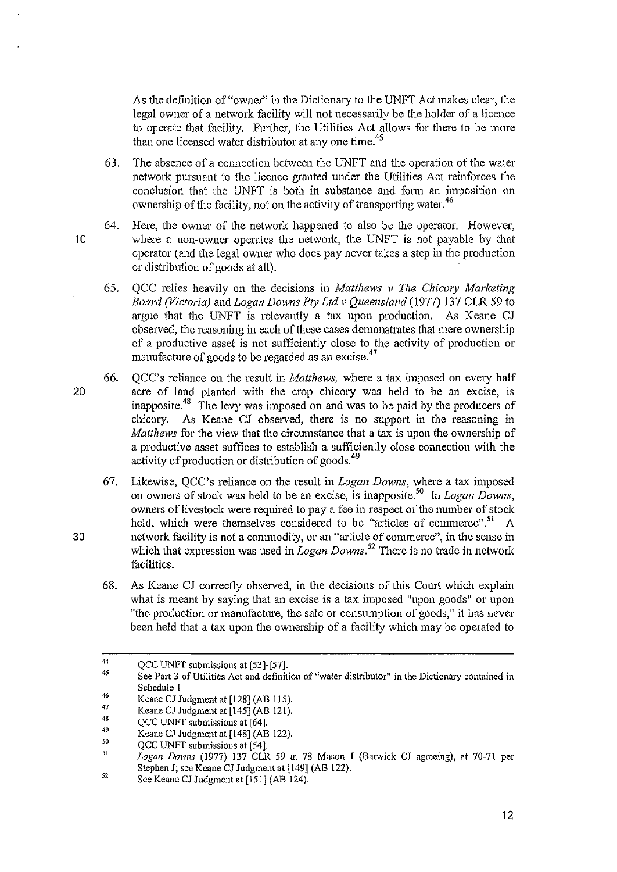As the definition of "owner" in the Dictionary to the UNFT Act makes clear, the legal owner of a network facility will not necessarily be the holder of a licence to operate that facility. Further, the Utilities Act allows for there to be more than one licensed water distributor at any one time.<sup>45</sup>

- 63. The absence of a connection between the UNFT and the operation of the water network pursuant to the licence granted under the Utilities Act reinforces the conclusion that the UNFT is both in substance and form an imposition on ownership of the facility, not on the activity of transporting water.<sup>46</sup>
- 64. Here, the owner of the network happened to also be the operator. However, 10 where a non-owner operates the network, the UNFT is not payable by that operator (and the legal owner who does pay never takes a step in the production or distribution of goods at all).
	- 65. QCC relies heavily on the decisions in *Matthews* v *The Chicory Marketing Board (Victoria)* and *Logan Downs Pty Ltd* v *Queensland* (1977) 137 CLR 59 to argue that the UNFT is relevantly a tax upon production. As Keane CJ observed, the reasoning in each of these cases demonstrates that mere ownership of a productive asset is not sufficiently close to the activity of production or manufacture of goods to be regarded as an excise.<sup>47</sup>
- 66.  $\rm{OCC}$ 's reliance on the result in *Matthews*, where a tax imposed on every half 20 acre of land planted with the crop chicory was held to be an excise, is inapposite.48 The levy was imposed on and was to be paid by the producers of chicory. As Keane CJ observed, there is no support in the reasoning in *Matthews* for the view that the circumstance that a tax is upon the ownership of a productive asset suffices to establish a sufficiently close connection with the activity of production or distribution of goods.<sup>49</sup>
- 67. Likewise, QCC's reliance on the result in *Logan Downs,* where a tax imposed on owners of stock was held to be an excise, is inapposite.so In *Logan Downs,*  owners of livestock were required to pay a fee in respect of the number of stock held, which were themselves considered to be "articles of commerce".<sup>51</sup> A 30 network facility is not a commodity, or an "article of commerce", in the sense in which that expression was used in *Logan Downs*.<sup>52</sup> There is no trade in network facilities.
	- 68. As Keane CJ correctly observed, in the decisions of this Court which explain what is meant by saying that an excise is a tax imposed "upon goods" or upon "the production or manufacture, the sale or consumption of goods," it has never been held that a tax upon the ownership of a facility which may be operated to

<sup>44</sup>  QCC UNFT submissions at [53]-[57].

<sup>45</sup> See Part 3 of Utilities Act and definition of "water distributor" in the Dictionary contained in Schedule I

<sup>46</sup> Keane CJ Judgment at [128] (AB 115).

<sup>47</sup>  Keane CJ Judgment at [145] (AB 121).

<sup>48</sup>  QCC UNFT submissions at [64].

<sup>49</sup>  Keane CJ Judgment at [148] (AB 122).

<sup>50&</sup>lt;br>51 QCC UNFT submissions at [54].

Logan Downs (1977) 137 CLR 59 at 78 Mason J (Barwick CJ agreeing), at 70-71 per Stephen J; see Keane CJ Judgment at [149] (AB 122).

<sup>52</sup> See Keane CJ Judgment at [151] (AB 124).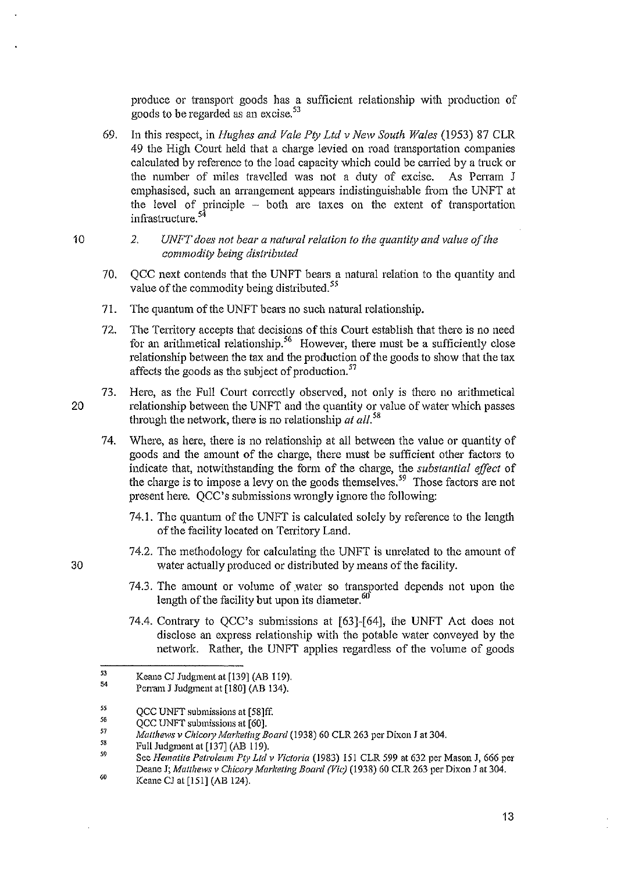produce or transport goods has a sufficient relationship with production of goods to be regarded as an excise.  $53$ 

- 69. In this respect, in *Hughes and Vale Pty Lld* v *New South Wales* (1953) 87 CLR 49 the High Court held that a charge levied on road transportation companies calculated by reference to the load capacity which could be carried by a truck or the number of miles travelled was not a dnty of excise. As Perram J emphasised, such an arrangement appears indistinguishable from the UNFT at the level of principle - both are taxes on the extent of transportation infrastructure. 54
	- 2. *UNFT does not bear a natural relation to the quantity and value of the commodity being distributed*
- 70. QCC next contends that the UNFT bears a natural relation to the quantity and value of the commodity being distributed.<sup>55</sup>
- 71. The quantum of the UNFT bears no such natural relationship.
- 72. The Territory accepts that decisions of this Court establish that there is no need for an arithmetical relationship.<sup>56</sup> However, there must be a sufficiently close relationship between the tax and the production of the goods to show that the tax affects the goods as the subject of production.<sup>57</sup>
- 73. Here, as the Full Court correctly observed, not only is there no arithmetical 20 relationship between the UNFT and the quantity or value of water which passes through the network, there is no relationship *at all.<sup>58</sup>*
	- 74. Where, as here, there is no relationship at all between the value or quantity of goods and the amount of the charge, there must be sufficient other factors to indicate that, notwitllstanding the form of the charge, the *substantial effect* of the charge is to impose a levy on the goods themselves.<sup>59</sup> Those factors are not present here. QCC's submissions wrongly ignore the following:
		- 74.1. The quantum of the UNFT is calculated solely by reference to the length of the facility located on Territory Land.
- 74.2. The methodology for calculating the UNFT is unrelated to the amount of 30 water actually produced or distributed by means of the facility.
	- 74.3. The amount or volume of water so transported depends not upon the length of the facility but upon its diameter. $60$
	- 74.4. Contrary to QCC's submissions at [63)-[64), the UNFT Act does not disclose an express relationship with the potable water conveyed by the network. Rather, the UNFT applies regardless of the volume of goods

<sup>53</sup>  54 Keane CJ Judgment at [139] (AB 119).

Perram J Judgment at [180] (AB 134).

<sup>55&</sup>lt;br>56<br>57 QCC UNFT submissions at [58]ff.

QCC UNFT submissions at [60].

*Mauhews v ChicOl), Marketing Board* (1938) 60 CLR 263 per Dixon.T at 304.

<sup>58&</sup>lt;br>59 Full Judgment at [137] (AB 119).

See *Nematite Petrolenm Pc)' Ltd v Victoria* (1983) !5! CLR 599 at 632 per Mason J, 666 per Deane J; Matthews v Chicory Marketing Board (Vic) (1938) 60 CLR 263 per Dixon J at 304. 60 Keane CJ at [151] (AB 124).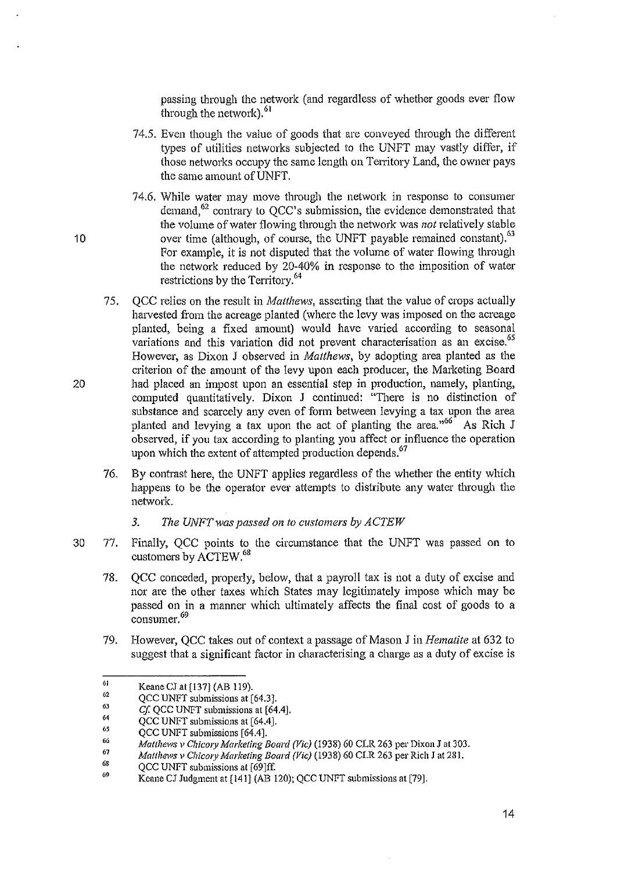passing through the network (and regardless of whether goods ever flow through the network). $61$ 

- 74.5. Even though the value of goods that are conveyed through the ditferent types of utilities networks subjected to the UNFT may vastly differ, if those networks occupy the same length on Territory Land, the owner pays the same amount of UNFT.
- 74.6. While water may move through the network in response to consumer demand, $62$  contrary to QCC's submission, the evidence demonstrated that the volume of water flowing through the network was *not* relatively stable 10 over time (although, of course, the UNFT payable remained constant).<sup>63</sup> For example, it is not disputed that the volume of water flowing through the network reduced by 20-40% in response to the imposition of water restrictions by the Territory.64
- 75. QCC relies on the result in *Matthews*, asserting that the value of crops actually harvested from the acreage planted (where the levy was imposed on the acreage planted, being a fixed amount) would have varied according to seasonal variations and this variation did not prevent characterisation as an excise.<sup>65</sup> However, as Dixon J observed in *Matthews,* by adopting area planted as the criterion of the amount of the levy upon each producer, the Marketing Board 20 had placed an impost upon an essential step in production, namely, planting, computed quantitatively. Dixon J continued: "There is no distinction of substance and scarcely any even of form between levying a tax upon the area planted and levying a tax upon the act of planting the area.<sup> $,66$ </sup> As Rich J observed, if you tax according to planting you affect or influence the operation upon which the extent of attempted production depends.<sup>67</sup>
	- 76. By contrast here, the UNFT applies regardless of the whether the entity which happens to be the operator ever attempts to distribute any water through the network.
		- *3. The UNFTwas passed on to customers by ACTEW*
- 30 77. Finally, QCC points to the circumstance that the UNFT was passed on to customers by ACTEW.<sup>68</sup>
	- 78. QCC conceded, properly, below, that a payroll tax is not a duty of excise and nor are the other taxes which States may legitimately impose which may be passed on in a manner which ultimately affects the final cost of goods to a consumer. 69
	- 79. However, QCC takes out of context a passage of Mason J in *Hematite* at 632 to suggest that a significant factor in characterising a charge as a duty of excise is

<sup>61</sup>  Keane CJ at [137] (AB 119).

<sup>62</sup>  QCC UNFT submissions at [64.3].

<sup>&</sup>quot; 64 *Cf.* QCC UNFT submissions at [64.4].

QCC UNFT submissions at [64.4J.

<sup>65</sup>  QCC UNFT submissions [64.4].

<sup>66&</sup>lt;br>67 *Matthews v ChicOIY Marketing Board (Vie)* (1938) 60 CLR 263 per Dixon J at 303.

*Matthews v Chicory Marketing Board (Vic)* (1938) 60 CLR 263 per Rich J at 281.

<sup>68</sup>  OCC UNFT submissions at [69]ff.

<sup>69</sup>  Keane CJ Judgment at [141] (AB 120); QCC UNFT submissions at [79].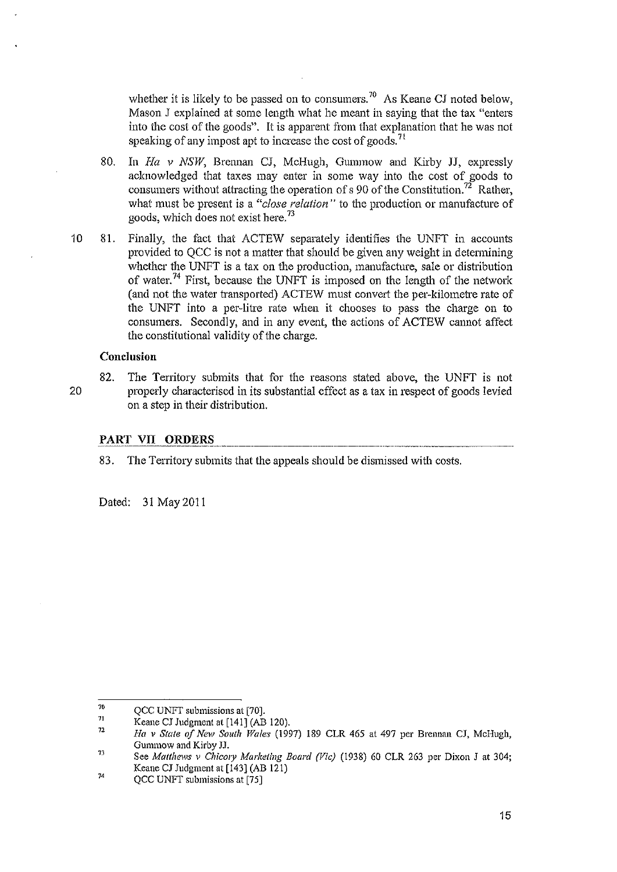whether it is likely to be passed on to consumers.<sup>70</sup> As Keane CJ noted below, Mason J explained at some length what he meant in saying that the tax "enters into the cost of the goods". It is apparent from that explanation that he was not speaking of any impost apt to increase the cost of goods.<sup>71</sup>

- 80. In *Ha v NSW*, Brennan CJ, McHugh, Gummow and Kirby JJ, expressly acknowledged that taxes may enter in some way into the cost of goods to consumers without attracting the operation of s 90 of the Constitution.<sup>72</sup> Rather, what must be present is a *"close relation"* to the production or manufacture of goods, which does not exist here. <sup>73</sup>
- 10 81. Finally, the fact that ACTEW separately identifies the UNFT in accounts provided to QCC is not a matter that should be given any weight in determining whether the UNFT is a tax on the production, manufacture, sale or distribution of water.<sup>74</sup> First, because the UNFT is imposed on the length of the network (and not the water transported) ACTEW must convert the per-kilometre rate of the UNFT into a per-litre rate when it chooses to pass the charge on to consumers. Secondly, and in any event, the actions of ACTEW cannot affect the constitutional validity of the charge.

#### Conclusion

82. The Territory submits that for the reasons stated above, the UNFT is not 20 properly characterised in its substantial effect as a tax in respect of goods levied on a step in their distribution.

#### PART VII ORDERS

83. The Territory submits that the appeals should be dismissed with costs.

Dated: 31 May201I

<sup>70</sup>  QCC UNFT submissions at [70].

*<sup>11</sup>*  Keane CJ Judgment at [141] (AB 120).

<sup>72</sup>  *Ha* v *State 0/ New S{)uth Wales* (1997) 189 CLR 465 at 497 per Brennan CJ, Mcl-Iugh, Gummow and Kirby JJ.

<sup>73</sup> See *Matthews v Chicory Marketing Board (Vic)* (1938) 60 CLR 263 per Dixon J at 304; Keane CJ Judgment at [143) (AB 121) 74

QCC UNFT submissions at [75)